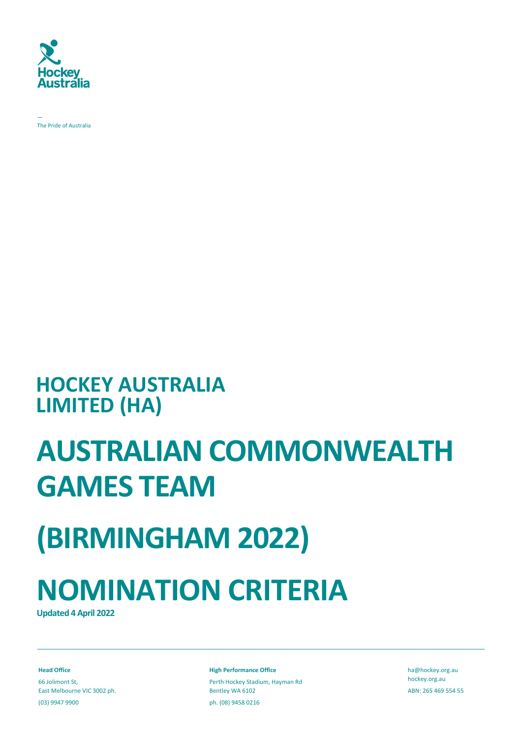

— The Pride of Australia

### **HOCKEY AUSTRALIA LIMITED (HA)**

### **AUSTRALIAN COMMONWEALTH GAMES TEAM**

## **(BIRMINGHAM 2022)**

# **NOMINATION CRITERIA**

**Updated 4 April 2022**

**Head Office** 66 Jolimont St, East Melbourne VIC 3002 ph. (03) 9947 9900

**High Performance Office**

Perth Hockey Stadium, Hayman Rd Bentley WA 6102 ph. (08) 9458 0216

[ha@hockey.org.au](mailto:ha@hockey.org.au) hockey.org.au ABN: 265 469 554 55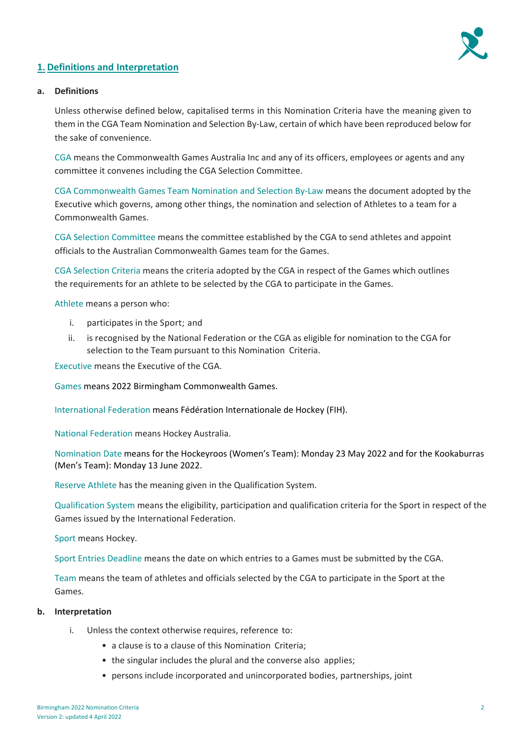

#### **1. Definitions and Interpretation**

#### **a. Definitions**

Unless otherwise defined below, capitalised terms in this Nomination Criteria have the meaning given to them in the CGA Team Nomination and Selection By-Law, certain of which have been reproduced below for the sake of convenience.

CGA means the Commonwealth Games Australia Inc and any of its officers, employees or agents and any committee it convenes including the CGA Selection Committee.

CGA Commonwealth Games Team Nomination and Selection By-Law means the document adopted by the Executive which governs, among other things, the nomination and selection of Athletes to a team for a Commonwealth Games.

CGA Selection Committee means the committee established by the CGA to send athletes and appoint officials to the Australian Commonwealth Games team for the Games.

CGA Selection Criteria means the criteria adopted by the CGA in respect of the Games which outlines the requirements for an athlete to be selected by the CGA to participate in the Games.

Athlete means a person who:

- i. participates in the Sport; and
- ii. is recognised by the National Federation or the CGA as eligible for nomination to the CGA for selection to the Team pursuant to this Nomination Criteria.

Executive means the Executive of the CGA.

Games means 2022 Birmingham Commonwealth Games.

International Federation means Fédération Internationale de Hockey (FIH).

National Federation means Hockey Australia.

Nomination Date means for the Hockeyroos (Women's Team): Monday 23 May 2022 and for the Kookaburras (Men's Team): Monday 13 June 2022.

Reserve Athlete has the meaning given in the Qualification System.

Qualification System means the eligibility, participation and qualification criteria for the Sport in respect of the Games issued by the International Federation.

Sport means Hockey.

Sport Entries Deadline means the date on which entries to a Games must be submitted by the CGA.

Team means the team of athletes and officials selected by the CGA to participate in the Sport at the Games.

#### **b. Interpretation**

- i. Unless the context otherwise requires, reference to:
	- a clause is to a clause of this Nomination Criteria;
	- the singular includes the plural and the converse also applies;
	- persons include incorporated and unincorporated bodies, partnerships, joint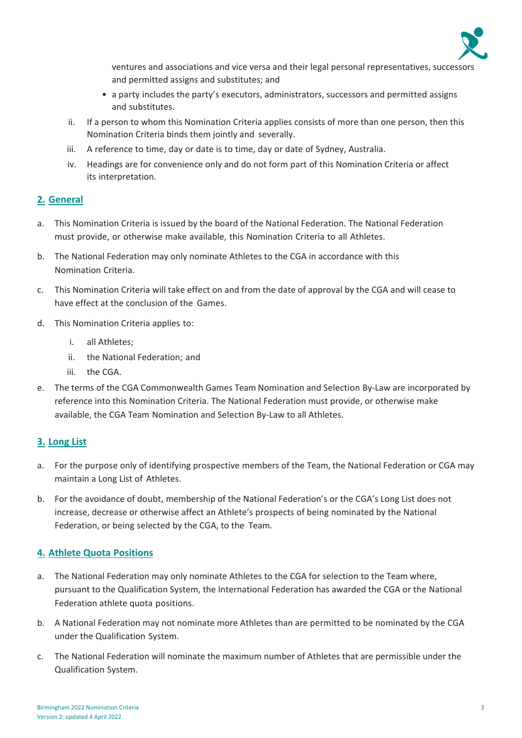

ventures and associations and vice versa and their legal personal representatives, successors and permitted assigns and substitutes; and

- a party includes the party's executors, administrators, successors and permitted assigns and substitutes.
- ii. If a person to whom this Nomination Criteria applies consists of more than one person, then this Nomination Criteria binds them jointly and severally.
- iii. A reference to time, day or date is to time, day or date of Sydney, Australia.
- iv. Headings are for convenience only and do not form part of this Nomination Criteria or affect its interpretation.

#### **2. General**

- a. This Nomination Criteria is issued by the board of the National Federation. The National Federation must provide, or otherwise make available, this Nomination Criteria to all Athletes.
- b. The National Federation may only nominate Athletes to the CGA in accordance with this Nomination Criteria.
- c. This Nomination Criteria will take effect on and from the date of approval by the CGA and will cease to have effect at the conclusion of the Games.
- d. This Nomination Criteria applies to:
	- i. all Athletes;
	- ii. the National Federation; and
	- iii. the CGA.
- e. The terms of the CGA Commonwealth Games Team Nomination and Selection By-Law are incorporated by reference into this Nomination Criteria. The National Federation must provide, or otherwise make available, the CGA Team Nomination and Selection By-Law to all Athletes.

#### **3. Long List**

- a. For the purpose only of identifying prospective members of the Team, the National Federation or CGA may maintain a Long List of Athletes.
- b. For the avoidance of doubt, membership of the National Federation's or the CGA's Long List does not increase, decrease or otherwise affect an Athlete's prospects of being nominated by the National Federation, or being selected by the CGA, to the Team.

#### **4. Athlete Quota Positions**

- a. The National Federation may only nominate Athletes to the CGA for selection to the Team where, pursuant to the Qualification System, the International Federation has awarded the CGA or the National Federation athlete quota positions.
- b. A National Federation may not nominate more Athletes than are permitted to be nominated by the CGA under the Qualification System.
- c. The National Federation will nominate the maximum number of Athletes that are permissible under the Qualification System.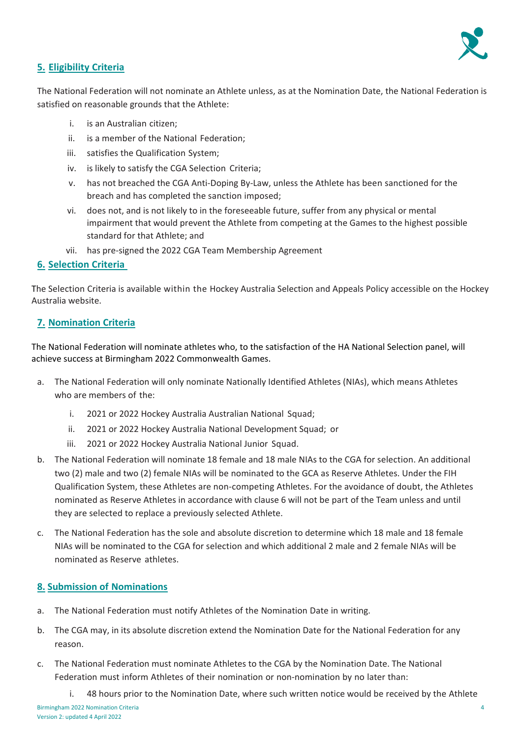

#### **5. Eligibility Criteria**

The National Federation will not nominate an Athlete unless, as at the Nomination Date, the National Federation is satisfied on reasonable grounds that the Athlete:

- i. is an Australian citizen;
- ii. is a member of the National Federation;
- iii. satisfies the Qualification System;
- iv. is likely to satisfy the CGA Selection Criteria;
- v. has not breached the CGA Anti-Doping By-Law, unless the Athlete has been sanctioned for the breach and has completed the sanction imposed;
- vi. does not, and is not likely to in the foreseeable future, suffer from any physical or mental impairment that would prevent the Athlete from competing at the Games to the highest possible standard for that Athlete; and
- vii. has pre-signed the 2022 CGA Team Membership Agreement

#### **6. Selection Criteria**

The Selection Criteria is available within the Hockey Australia Selection and Appeals Policy accessible on the Hockey Australia website.

#### **7. Nomination Criteria**

The National Federation will nominate athletes who, to the satisfaction of the HA National Selection panel, will achieve success at Birmingham 2022 Commonwealth Games.

- a. The National Federation will only nominate Nationally Identified Athletes (NIAs), which means Athletes who are members of the:
	- i. 2021 or 2022 Hockey Australia Australian National Squad;
	- ii. 2021 or 2022 Hockey Australia National Development Squad; or
	- iii. 2021 or 2022 Hockey Australia National Junior Squad.
- b. The National Federation will nominate 18 female and 18 male NIAs to the CGA for selection. An additional two (2) male and two (2) female NIAs will be nominated to the GCA as Reserve Athletes. Under the FIH Qualification System, these Athletes are non-competing Athletes. For the avoidance of doubt, the Athletes nominated as Reserve Athletes in accordance with clause 6 will not be part of the Team unless and until they are selected to replace a previously selected Athlete.
- c. The National Federation has the sole and absolute discretion to determine which 18 male and 18 female NIAs will be nominated to the CGA for selection and which additional 2 male and 2 female NIAs will be nominated as Reserve athletes.

#### **8. Submission of Nominations**

- a. The National Federation must notify Athletes of the Nomination Date in writing.
- b. The CGA may, in its absolute discretion extend the Nomination Date for the National Federation for any reason.
- c. The National Federation must nominate Athletes to the CGA by the Nomination Date. The National Federation must inform Athletes of their nomination or non-nomination by no later than:
	- i. 48 hours prior to the Nomination Date, where such written notice would be received by the Athlete